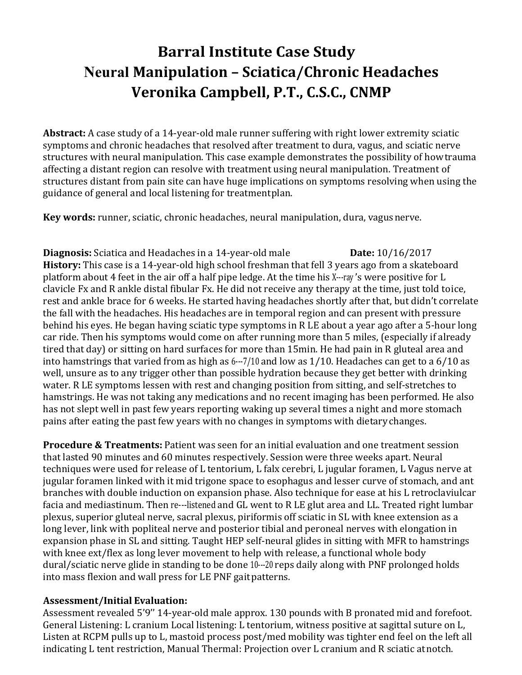# **Barral Institute Case Study Neural Manipulation – Sciatica/Chronic Headaches Veronika Campbell, P.T., C.S.C., CNMP**

**Abstract:** A case study of a 14-year-old male runner suffering with right lower extremity sciatic symptoms and chronic headaches that resolved after treatment to dura, vagus, and sciatic nerve structures with neural manipulation. This case example demonstrates the possibility of how trauma affecting a distant region can resolve with treatment using neural manipulation. Treatment of structures distant from pain site can have huge implications on symptoms resolving when using the guidance of general and local listening for treatment plan.

**Key words:** runner, sciatic, chronic headaches, neural manipulation, dura, vagus nerve.

**Diagnosis:** Sciatica and Headaches in a 14-year-old male **Date:** 10/16/2017 **History:** This case is a 14-year-old high school freshman that fell 3 years ago from a skateboard platform about 4 feet in the air off a half pipe ledge. At the time his X---ray 's were positive for L clavicle Fx and R ankle distal fibular Fx. He did not receive any therapy at the time, just told to ice, rest and ankle brace for 6 weeks. He started having headaches shortly after that, but didn't correlate the fall with the headaches. His headaches are in temporal region and can present with pressure behind his eyes. He began having sciatic type symptoms in R LE about a year ago after a 5-hour long car ride. Then his symptoms would come on after running more than 5 miles, (especially if already tired that day) or sitting on hard surfaces for more than 15min. He had pain in R gluteal area and into hamstrings that varied from as high as 6---7/10 and low as 1/10. Headaches can get to a 6/10 as well, unsure as to any trigger other than possible hydration because they get better with drinking water. R LE symptoms lessen with rest and changing position from sitting, and self-stretches to hamstrings. He was not taking any medications and no recent imaging has been performed. He also has not slept well in past few years reporting waking up several times a night and more stomach pains after eating the past few years with no changes in symptoms with dietary changes.

**Procedure & Treatments:** Patient was seen for an initial evaluation and one treatment session that lasted 90 minutes and 60 minutes respectively. Session were three weeks apart. Neural techniques were used for release of L tentorium, L falx cerebri, L jugular foramen, L Vagus nerve at jugular foramen linked with it mid trigone space to esophagus and lesser curve of stomach, and ant branches with double induction on expansion phase. Also technique for ease at his L retroclaviulcar facia and mediastinum. Then re---listened and GL went to R LE glut area and LL. Treated right lumbar plexus, superior gluteal nerve, sacral plexus, piriformis off sciatic in SL with knee extension as a long lever, link with popliteal nerve and posterior tibial and peroneal nerves with elongation in expansion phase in SL and sitting. Taught HEP self-neural glides in sitting with MFR to hamstrings with knee ext/flex as long lever movement to help with release, a functional whole body dural/sciatic nerve glide in standing to be done 10---20 reps daily along with PNF prolonged holds into mass flexion and wall press for LE PNF gait patterns.

#### **Assessment/Initial Evaluation:**

Assessment revealed 5'9'' 14-year-old male approx. 130 pounds with B pronated mid and forefoot. General Listening: L cranium Local listening: L tentorium, witness positive at sagittal suture on L, Listen at RCPM pulls up to L, mastoid process post/med mobility was tighter end feel on the left all indicating L tent restriction, Manual Thermal: Projection over L cranium and R sciatic at notch.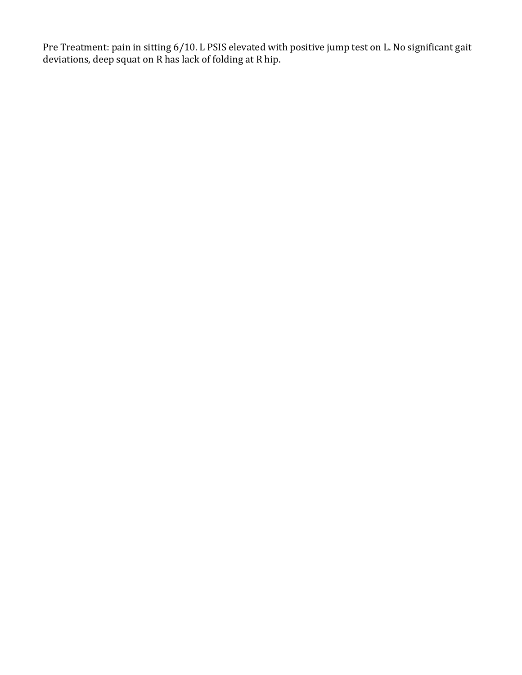Pre Treatment: pain in sitting 6/10. L PSIS elevated with positive jump test on L. No significant gait deviations, deep squat on R has lack of folding at R hip.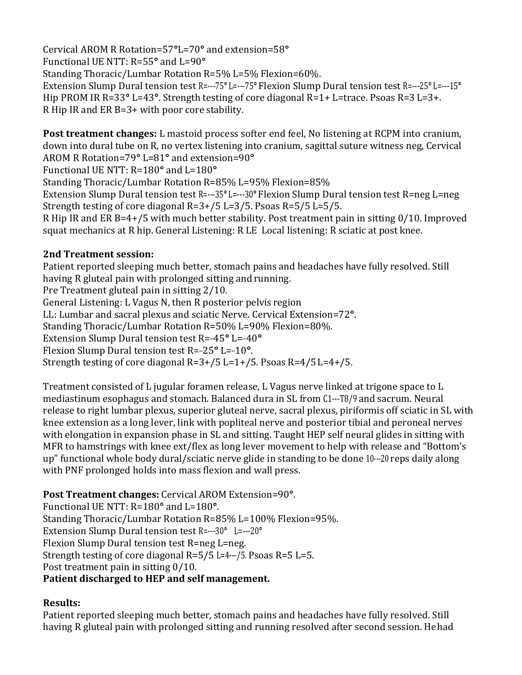Cervical AROM R Rotation=57**°**L=70**°** and extension=58**°**  Functional UE NTT: R=55**°** and L=90**°** Standing Thoracic/Lumbar Rotation R=5% L=5% Flexion=60%. Extension Slump Dural tension test R=---75**°** L=---75**°** Flexion Slump Dural tension test R=---25**°** L=---15**°**  Hip PROM IR R=33**°** L=43**°**. Strength testing of core diagonal R=1+ L=trace. Psoas R=3 L=3+. R Hip IR and ER B=3+ with poor core stability.

**Post treatment changes:** L mastoid process softer end feel, No listening at RCPM into cranium, down into dural tube on R, no vertex listening into cranium, sagittal suture witness neg, Cervical AROM R Rotation=79**°** L=81**°** and extension=90**°**

Functional UE NTT: R=180**°** and L=180**°**

Standing Thoracic/Lumbar Rotation R=85% L=95% Flexion=85% Extension Slump Dural tension test R=---35**°** L=---30**°** Flexion Slump Dural tension test R=neg L=neg Strength testing of core diagonal R=3+/5 L=3/5. Psoas R=5/5 L=5/5.

R Hip IR and ER B=4+/5 with much better stability. Post treatment pain in sitting 0/10. Improved squat mechanics at R hip. General Listening: R LE Local listening: R sciatic at post knee.

## **2nd Treatment session:**

Patient reported sleeping much better, stomach pains and headaches have fully resolved. Still having R gluteal pain with prolonged sitting and running.

Pre Treatment gluteal pain in sitting 2/10.

General Listening: L Vagus N, then R posterior pelvis region

LL: Lumbar and sacral plexus and sciatic Nerve. Cervical Extension=72**°**.

Standing Thoracic/Lumbar Rotation R=50% L=90% Flexion=80%.

Extension Slump Dural tension test R=-45° L=-40°

Flexion Slump Dural tension test R=---25**°** L=---10**°**.

Strength testing of core diagonal R=3+/5 L=1+/5. Psoas R=4/5 L=4+/5.

Treatment consisted of L jugular foramen release, L Vagus nerve linked at trigone space to L mediastinum esophagus and stomach. Balanced dura in SL from C1---T8/9 and sacrum. Neural release to right lumbar plexus, superior gluteal nerve, sacral plexus, piriformis off sciatic in SL with knee extension as a long lever, link with popliteal nerve and posterior tibial and peroneal nerves with elongation in expansion phase in SL and sitting. Taught HEP self neural glides in sitting with MFR to hamstrings with knee ext/flex as long lever movement to help with release and "Bottom's up" functional whole body dural/sciatic nerve glide in standing to be done 10---20 reps daily along with PNF prolonged holds into mass flexion and wall press.

**Post Treatment changes:** Cervical AROM Extension=90**°**. Functional UE NTT: R=180**°** and L=180**°**.

Standing Thoracic/Lumbar Rotation R=85% L=100% Flexion=95%.

Extension Slump Dural tension test R=---30**°** L=---20**°**

Flexion Slump Dural tension test R=neg L=neg.

Strength testing of core diagonal R=5/5 L=4---/5. Psoas R=5 L=5.

Post treatment pain in sitting 0/10.

## **Patient discharged to HEP and self management.**

## **Results:**

Patient reported sleeping much better, stomach pains and headaches have fully resolved. Still having R gluteal pain with prolonged sitting and running resolved after second session. He had